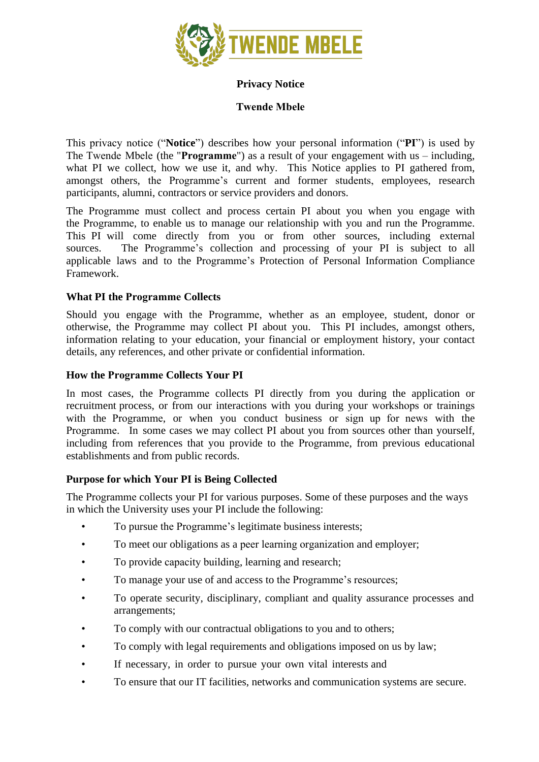

# **Privacy Notice**

# **Twende Mbele**

This privacy notice ("**Notice**") describes how your personal information ("**PI**") is used by The Twende Mbele (the "**Programme**") as a result of your engagement with us – including, what PI we collect, how we use it, and why. This Notice applies to PI gathered from, amongst others, the Programme's current and former students, employees, research participants, alumni, contractors or service providers and donors.

The Programme must collect and process certain PI about you when you engage with the Programme, to enable us to manage our relationship with you and run the Programme. This PI will come directly from you or from other sources, including external sources. The Programme's collection and processing of your PI is subject to all applicable laws and to the Programme's Protection of Personal Information Compliance Framework.

# **What PI the Programme Collects**

Should you engage with the Programme, whether as an employee, student, donor or otherwise, the Programme may collect PI about you. This PI includes, amongst others, information relating to your education, your financial or employment history, your contact details, any references, and other private or confidential information.

## **How the Programme Collects Your PI**

In most cases, the Programme collects PI directly from you during the application or recruitment process, or from our interactions with you during your workshops or trainings with the Programme, or when you conduct business or sign up for news with the Programme. In some cases we may collect PI about you from sources other than yourself, including from references that you provide to the Programme, from previous educational establishments and from public records.

## **Purpose for which Your PI is Being Collected**

The Programme collects your PI for various purposes. Some of these purposes and the ways in which the University uses your PI include the following:

- To pursue the Programme's legitimate business interests;
- To meet our obligations as a peer learning organization and employer;
- To provide capacity building, learning and research;
- To manage your use of and access to the Programme's resources;
- To operate security, disciplinary, compliant and quality assurance processes and arrangements;
- To comply with our contractual obligations to you and to others;
- To comply with legal requirements and obligations imposed on us by law;
- If necessary, in order to pursue your own vital interests and
- To ensure that our IT facilities, networks and communication systems are secure.